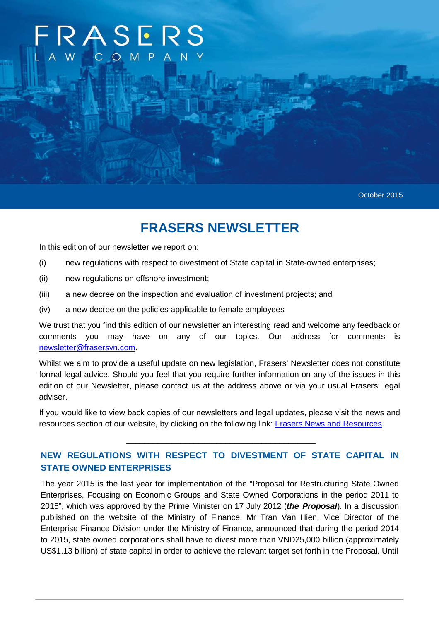# RASERS COM

October 2015

# **FRASERS NEWSLETTER**

In this edition of our newsletter we report on:

- (i) new regulations with respect to divestment of State capital in State-owned enterprises;
- (ii) new regulations on offshore investment;
- (iii) a new decree on the inspection and evaluation of investment projects; and
- (iv) a new decree on the policies applicable to female employees

We trust that you find this edition of our newsletter an interesting read and welcome any feedback or comments you may have on any of our topics. Our address for comments is newsletter@frasersvn.com.

Whilst we aim to provide a useful update on new legislation, Frasers' Newsletter does not constitute formal legal advice. Should you feel that you require further information on any of the issues in this edition of our Newsletter, please contact us at the address above or via your usual Frasers' legal adviser.

If you would like to view back copies of our newsletters and legal updates, please visit the news and resources section of our website, by clicking on the following link: Frasers News and Resources.

\_\_\_\_\_\_\_\_\_\_\_\_\_\_\_\_\_\_\_\_\_\_\_\_\_\_\_\_\_\_\_\_\_\_\_\_\_\_\_\_\_\_

# **NEW REGULATIONS WITH RESPECT TO DIVESTMENT OF STATE CAPITAL IN STATE OWNED ENTERPRISES**

The year 2015 is the last year for implementation of the "Proposal for Restructuring State Owned Enterprises, Focusing on Economic Groups and State Owned Corporations in the period 2011 to 2015", which was approved by the Prime Minister on 17 July 2012 (**the Proposal**). In a discussion published on the website of the Ministry of Finance, Mr Tran Van Hien, Vice Director of the Enterprise Finance Division under the Ministry of Finance, announced that during the period 2014 to 2015, state owned corporations shall have to divest more than VND25,000 billion (approximately US\$1.13 billion) of state capital in order to achieve the relevant target set forth in the Proposal. Until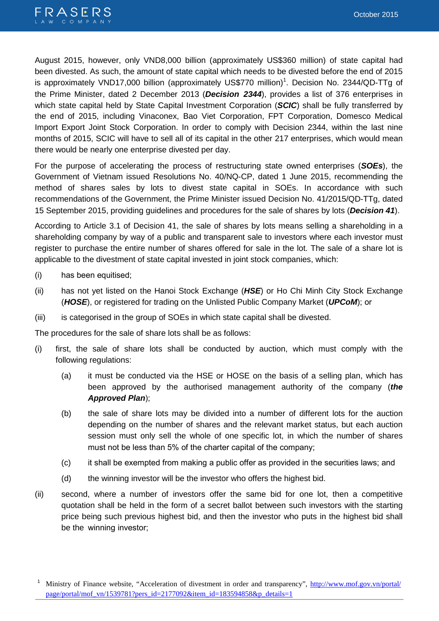

August 2015, however, only VND8,000 billion (approximately US\$360 million) of state capital had been divested. As such, the amount of state capital which needs to be divested before the end of 2015 is approximately VND17,000 billion (approximately US\$770 million)<sup>1</sup>. Decision No. 2344/QD-TTg of the Prime Minister, dated 2 December 2013 (**Decision 2344**), provides a list of 376 enterprises in which state capital held by State Capital Investment Corporation (**SCIC**) shall be fully transferred by the end of 2015, including Vinaconex, Bao Viet Corporation, FPT Corporation, Domesco Medical Import Export Joint Stock Corporation. In order to comply with Decision 2344, within the last nine months of 2015, SCIC will have to sell all of its capital in the other 217 enterprises, which would mean there would be nearly one enterprise divested per day.

For the purpose of accelerating the process of restructuring state owned enterprises (**SOEs**), the Government of Vietnam issued Resolutions No. 40/NQ-CP, dated 1 June 2015, recommending the method of shares sales by lots to divest state capital in SOEs. In accordance with such recommendations of the Government, the Prime Minister issued Decision No. 41/2015/QD-TTg, dated 15 September 2015, providing guidelines and procedures for the sale of shares by lots (**Decision 41**).

According to Article 3.1 of Decision 41, the sale of shares by lots means selling a shareholding in a shareholding company by way of a public and transparent sale to investors where each investor must register to purchase the entire number of shares offered for sale in the lot. The sale of a share lot is applicable to the divestment of state capital invested in joint stock companies, which:

- (i) has been equitised;
- (ii) has not yet listed on the Hanoi Stock Exchange (**HSE**) or Ho Chi Minh City Stock Exchange (**HOSE**), or registered for trading on the Unlisted Public Company Market (**UPCoM**); or
- (iii) is categorised in the group of SOEs in which state capital shall be divested.

The procedures for the sale of share lots shall be as follows:

- (i) first, the sale of share lots shall be conducted by auction, which must comply with the following regulations:
	- (a) it must be conducted via the HSE or HOSE on the basis of a selling plan, which has been approved by the authorised management authority of the company (**the Approved Plan**);
	- (b) the sale of share lots may be divided into a number of different lots for the auction depending on the number of shares and the relevant market status, but each auction session must only sell the whole of one specific lot, in which the number of shares must not be less than 5% of the charter capital of the company;
	- (c) it shall be exempted from making a public offer as provided in the securities laws; and
	- (d) the winning investor will be the investor who offers the highest bid.
- (ii) second, where a number of investors offer the same bid for one lot, then a competitive quotation shall be held in the form of a secret ballot between such investors with the starting price being such previous highest bid, and then the investor who puts in the highest bid shall be the winning investor;

<sup>1</sup>Ministry of Finance website, "Acceleration of divestment in order and transparency", http://www.mof.gov.vn/portal/ page/portal/mof\_vn/1539781?pers\_id=2177092&item\_id=183594858&p\_details=1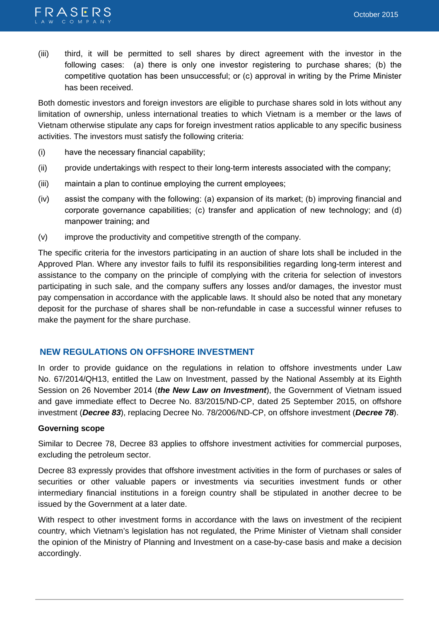

(iii) third, it will be permitted to sell shares by direct agreement with the investor in the following cases: (a) there is only one investor registering to purchase shares; (b) the competitive quotation has been unsuccessful; or (c) approval in writing by the Prime Minister has been received.

Both domestic investors and foreign investors are eligible to purchase shares sold in lots without any limitation of ownership, unless international treaties to which Vietnam is a member or the laws of Vietnam otherwise stipulate any caps for foreign investment ratios applicable to any specific business activities. The investors must satisfy the following criteria:

- (i) have the necessary financial capability;
- (ii) provide undertakings with respect to their long-term interests associated with the company;
- (iii) maintain a plan to continue employing the current employees;
- (iv) assist the company with the following: (a) expansion of its market; (b) improving financial and corporate governance capabilities; (c) transfer and application of new technology; and (d) manpower training; and
- (v) improve the productivity and competitive strength of the company.

The specific criteria for the investors participating in an auction of share lots shall be included in the Approved Plan. Where any investor fails to fulfil its responsibilities regarding long-term interest and assistance to the company on the principle of complying with the criteria for selection of investors participating in such sale, and the company suffers any losses and/or damages, the investor must pay compensation in accordance with the applicable laws. It should also be noted that any monetary deposit for the purchase of shares shall be non-refundable in case a successful winner refuses to make the payment for the share purchase.

# **NEW REGULATIONS ON OFFSHORE INVESTMENT**

In order to provide guidance on the regulations in relation to offshore investments under Law No. 67/2014/QH13, entitled the Law on Investment, passed by the National Assembly at its Eighth Session on 26 November 2014 (**the New Law on Investment**), the Government of Vietnam issued and gave immediate effect to Decree No. 83/2015/ND-CP, dated 25 September 2015, on offshore investment (**Decree 83**), replacing Decree No. 78/2006/ND-CP, on offshore investment (**Decree 78**).

#### **Governing scope**

Similar to Decree 78, Decree 83 applies to offshore investment activities for commercial purposes, excluding the petroleum sector.

Decree 83 expressly provides that offshore investment activities in the form of purchases or sales of securities or other valuable papers or investments via securities investment funds or other intermediary financial institutions in a foreign country shall be stipulated in another decree to be issued by the Government at a later date.

With respect to other investment forms in accordance with the laws on investment of the recipient country, which Vietnam's legislation has not regulated, the Prime Minister of Vietnam shall consider the opinion of the Ministry of Planning and Investment on a case-by-case basis and make a decision accordingly.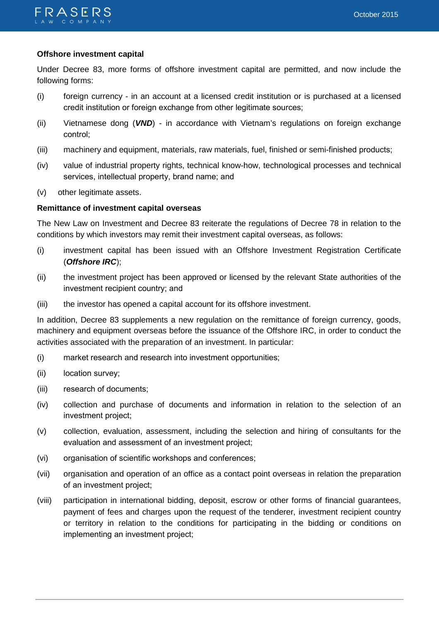# **Offshore investment capital**

Under Decree 83, more forms of offshore investment capital are permitted, and now include the following forms:

- (i) foreign currency in an account at a licensed credit institution or is purchased at a licensed credit institution or foreign exchange from other legitimate sources;
- (ii) Vietnamese dong (**VND**) in accordance with Vietnam's regulations on foreign exchange control;
- (iii) machinery and equipment, materials, raw materials, fuel, finished or semi-finished products;
- (iv) value of industrial property rights, technical know-how, technological processes and technical services, intellectual property, brand name; and
- (v) other legitimate assets.

# **Remittance of investment capital overseas**

The New Law on Investment and Decree 83 reiterate the regulations of Decree 78 in relation to the conditions by which investors may remit their investment capital overseas, as follows:

- (i) investment capital has been issued with an Offshore Investment Registration Certificate (**Offshore IRC**);
- (ii) the investment project has been approved or licensed by the relevant State authorities of the investment recipient country; and
- (iii) the investor has opened a capital account for its offshore investment.

In addition, Decree 83 supplements a new regulation on the remittance of foreign currency, goods, machinery and equipment overseas before the issuance of the Offshore IRC, in order to conduct the activities associated with the preparation of an investment. In particular:

- (i) market research and research into investment opportunities;
- (ii) location survey;
- (iii) research of documents;
- (iv) collection and purchase of documents and information in relation to the selection of an investment project;
- (v) collection, evaluation, assessment, including the selection and hiring of consultants for the evaluation and assessment of an investment project;
- (vi) organisation of scientific workshops and conferences;
- (vii) organisation and operation of an office as a contact point overseas in relation the preparation of an investment project;
- (viii) participation in international bidding, deposit, escrow or other forms of financial guarantees, payment of fees and charges upon the request of the tenderer, investment recipient country or territory in relation to the conditions for participating in the bidding or conditions on implementing an investment project;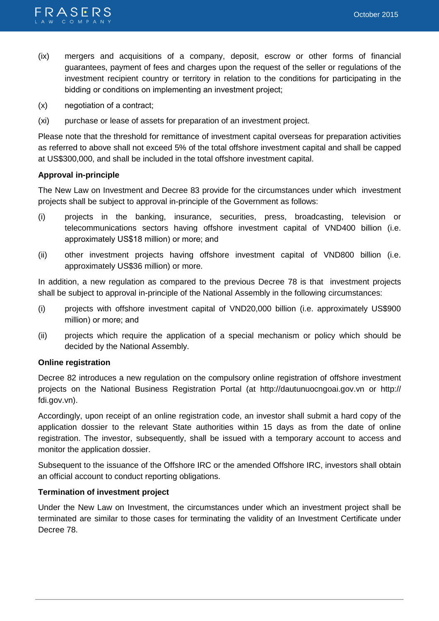

- (ix) mergers and acquisitions of a company, deposit, escrow or other forms of financial guarantees, payment of fees and charges upon the request of the seller or regulations of the investment recipient country or territory in relation to the conditions for participating in the bidding or conditions on implementing an investment project;
- (x) negotiation of a contract;
- (xi) purchase or lease of assets for preparation of an investment project.

Please note that the threshold for remittance of investment capital overseas for preparation activities as referred to above shall not exceed 5% of the total offshore investment capital and shall be capped at US\$300,000, and shall be included in the total offshore investment capital.

# **Approval in-principle**

The New Law on Investment and Decree 83 provide for the circumstances under which investment projects shall be subject to approval in-principle of the Government as follows:

- (i) projects in the banking, insurance, securities, press, broadcasting, television or telecommunications sectors having offshore investment capital of VND400 billion (i.e. approximately US\$18 million) or more; and
- (ii) other investment projects having offshore investment capital of VND800 billion (i.e. approximately US\$36 million) or more.

In addition, a new regulation as compared to the previous Decree 78 is that investment projects shall be subject to approval in-principle of the National Assembly in the following circumstances:

- (i) projects with offshore investment capital of VND20,000 billion (i.e. approximately US\$900 million) or more; and
- (ii) projects which require the application of a special mechanism or policy which should be decided by the National Assembly.

#### **Online registration**

Decree 82 introduces a new regulation on the compulsory online registration of offshore investment projects on the National Business Registration Portal (at http://dautunuocngoai.gov.vn or http:// fdi.gov.vn).

Accordingly, upon receipt of an online registration code, an investor shall submit a hard copy of the application dossier to the relevant State authorities within 15 days as from the date of online registration. The investor, subsequently, shall be issued with a temporary account to access and monitor the application dossier.

Subsequent to the issuance of the Offshore IRC or the amended Offshore IRC, investors shall obtain an official account to conduct reporting obligations.

#### **Termination of investment project**

Under the New Law on Investment, the circumstances under which an investment project shall be terminated are similar to those cases for terminating the validity of an Investment Certificate under Decree 78.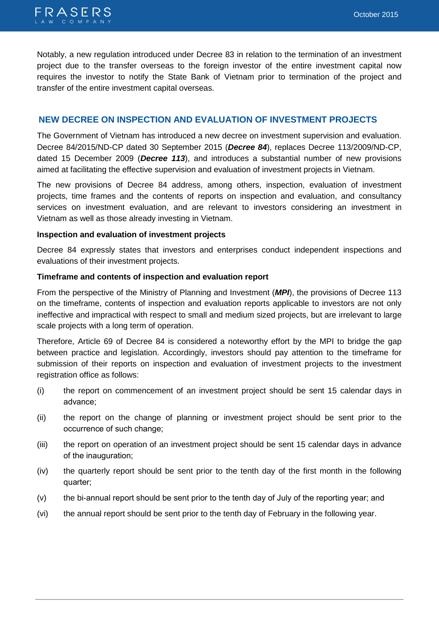Notably, a new regulation introduced under Decree 83 in relation to the termination of an investment project due to the transfer overseas to the foreign investor of the entire investment capital now requires the investor to notify the State Bank of Vietnam prior to termination of the project and transfer of the entire investment capital overseas.

# **NEW DECREE ON INSPECTION AND EVALUATION OF INVESTMENT PROJECTS**

The Government of Vietnam has introduced a new decree on investment supervision and evaluation. Decree 84/2015/ND-CP dated 30 September 2015 (**Decree 84**), replaces Decree 113/2009/ND-CP, dated 15 December 2009 (**Decree 113**), and introduces a substantial number of new provisions aimed at facilitating the effective supervision and evaluation of investment projects in Vietnam.

The new provisions of Decree 84 address, among others, inspection, evaluation of investment projects, time frames and the contents of reports on inspection and evaluation, and consultancy services on investment evaluation, and are relevant to investors considering an investment in Vietnam as well as those already investing in Vietnam.

# **Inspection and evaluation of investment projects**

Decree 84 expressly states that investors and enterprises conduct independent inspections and evaluations of their investment projects.

# **Timeframe and contents of inspection and evaluation report**

From the perspective of the Ministry of Planning and Investment (**MPI**), the provisions of Decree 113 on the timeframe, contents of inspection and evaluation reports applicable to investors are not only ineffective and impractical with respect to small and medium sized projects, but are irrelevant to large scale projects with a long term of operation.

Therefore, Article 69 of Decree 84 is considered a noteworthy effort by the MPI to bridge the gap between practice and legislation. Accordingly, investors should pay attention to the timeframe for submission of their reports on inspection and evaluation of investment projects to the investment registration office as follows:

- (i) the report on commencement of an investment project should be sent 15 calendar days in advance;
- (ii) the report on the change of planning or investment project should be sent prior to the occurrence of such change;
- (iii) the report on operation of an investment project should be sent 15 calendar days in advance of the inauguration;
- (iv) the quarterly report should be sent prior to the tenth day of the first month in the following quarter;
- (v) the bi-annual report should be sent prior to the tenth day of July of the reporting year; and
- (vi) the annual report should be sent prior to the tenth day of February in the following year.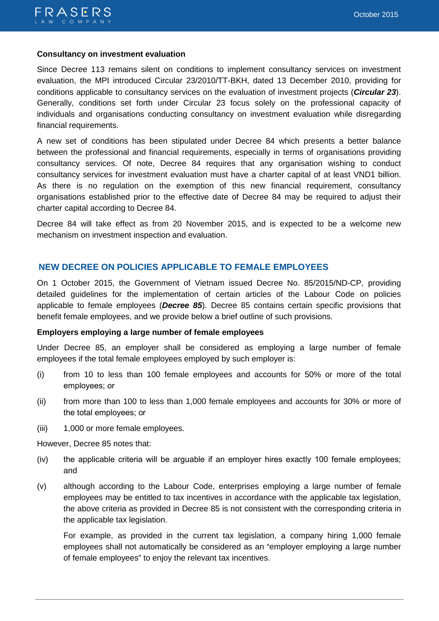# **Consultancy on investment evaluation**

Since Decree 113 remains silent on conditions to implement consultancy services on investment evaluation, the MPI introduced Circular 23/2010/TT-BKH, dated 13 December 2010, providing for conditions applicable to consultancy services on the evaluation of investment projects (**Circular 23**). Generally, conditions set forth under Circular 23 focus solely on the professional capacity of individuals and organisations conducting consultancy on investment evaluation while disregarding financial requirements.

A new set of conditions has been stipulated under Decree 84 which presents a better balance between the professional and financial requirements, especially in terms of organisations providing consultancy services. Of note, Decree 84 requires that any organisation wishing to conduct consultancy services for investment evaluation must have a charter capital of at least VND1 billion. As there is no regulation on the exemption of this new financial requirement, consultancy organisations established prior to the effective date of Decree 84 may be required to adjust their charter capital according to Decree 84.

Decree 84 will take effect as from 20 November 2015, and is expected to be a welcome new mechanism on investment inspection and evaluation.

# **NEW DECREE ON POLICIES APPLICABLE TO FEMALE EMPLOYEES**

On 1 October 2015, the Government of Vietnam issued Decree No. 85/2015/ND-CP, providing detailed guidelines for the implementation of certain articles of the Labour Code on policies applicable to female employees (**Decree 85**). Decree 85 contains certain specific provisions that benefit female employees, and we provide below a brief outline of such provisions.

#### **Employers employing a large number of female employees**

Under Decree 85, an employer shall be considered as employing a large number of female employees if the total female employees employed by such employer is:

- (i) from 10 to less than 100 female employees and accounts for 50% or more of the total employees; or
- (ii) from more than 100 to less than 1,000 female employees and accounts for 30% or more of the total employees; or
- (iii) 1,000 or more female employees.

However, Decree 85 notes that:

- (iv) the applicable criteria will be arguable if an employer hires exactly 100 female employees; and
- (v) although according to the Labour Code, enterprises employing a large number of female employees may be entitled to tax incentives in accordance with the applicable tax legislation, the above criteria as provided in Decree 85 is not consistent with the corresponding criteria in the applicable tax legislation.

 For example, as provided in the current tax legislation, a company hiring 1,000 female employees shall not automatically be considered as an "employer employing a large number of female employees" to enjoy the relevant tax incentives.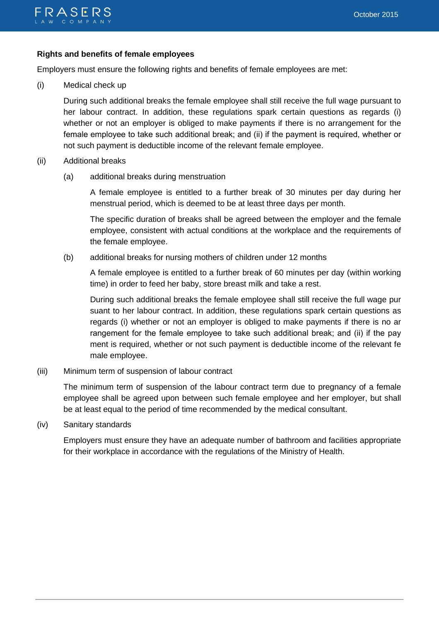# **Rights and benefits of female employees**

Employers must ensure the following rights and benefits of female employees are met:

(i) Medical check up

During such additional breaks the female employee shall still receive the full wage pursuant to her labour contract. In addition, these regulations spark certain questions as regards (i) whether or not an employer is obliged to make payments if there is no arrangement for the female employee to take such additional break; and (ii) if the payment is required, whether or not such payment is deductible income of the relevant female employee.

- (ii) Additional breaks
	- (a) additional breaks during menstruation

 A female employee is entitled to a further break of 30 minutes per day during her menstrual period, which is deemed to be at least three days per month.

 The specific duration of breaks shall be agreed between the employer and the female employee, consistent with actual conditions at the workplace and the requirements of the female employee.

(b) additional breaks for nursing mothers of children under 12 months

 A female employee is entitled to a further break of 60 minutes per day (within working time) in order to feed her baby, store breast milk and take a rest.

 During such additional breaks the female employee shall still receive the full wage pur suant to her labour contract. In addition, these regulations spark certain questions as regards (i) whether or not an employer is obliged to make payments if there is no ar rangement for the female employee to take such additional break; and (ii) if the pay ment is required, whether or not such payment is deductible income of the relevant fe male employee.

(iii) Minimum term of suspension of labour contract

 The minimum term of suspension of the labour contract term due to pregnancy of a female employee shall be agreed upon between such female employee and her employer, but shall be at least equal to the period of time recommended by the medical consultant.

(iv) Sanitary standards

 Employers must ensure they have an adequate number of bathroom and facilities appropriate for their workplace in accordance with the regulations of the Ministry of Health.